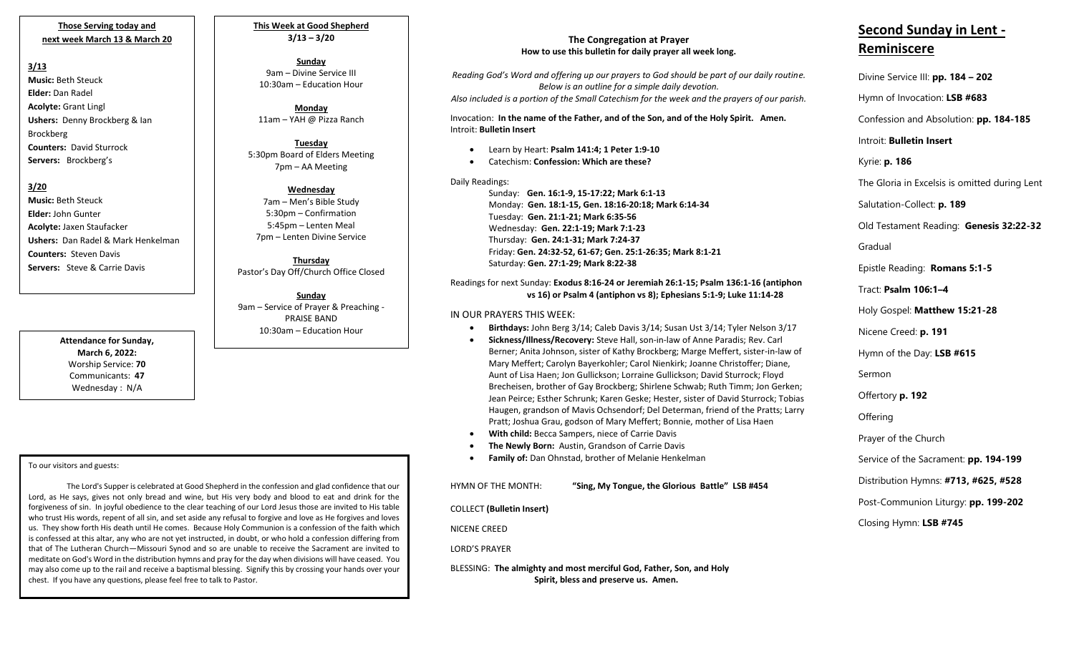## **Those Serving today and next week March 13 & March 20**

# **3/13**

**Music:** Beth Steuck **Elder:** Dan Radel **Acolyte:** Grant Lingl **Ushers:** Denny Brockberg & Ian Brockberg **Counters:** David Sturrock **Servers:** Brockberg's

# **3/20**

**Music:** Beth Steuck **Elder:** John Gunter **Acolyte:** Jaxen Staufacker **Ushers:** Dan Radel & Mark Henkelman **Counters:** Steven Davis **Servers:** Steve & Carrie Davis

> **Attendance for Sunday, March 6, 2022:** Worship Service: **70** Communicants: **47** Wednesday : N/A

#### To our visitors and guests:

 forgiveness of sin. In joyful obedience to the clear teaching of our Lord Jesus those are invited to His table The Lord's Supper is celebrated at Good Shepherd in the confession and glad confidence that our Lord, as He says, gives not only bread and wine, but His very body and blood to eat and drink for the who trust His words, repent of all sin, and set aside any refusal to forgive and love as He forgives and loves us. They show forth His death until He comes. Because Holy Communion is a confession of the faith which is confessed at this altar, any who are not yet instructed, in doubt, or who hold a confession differing from that of The Lutheran Church—Missouri Synod and so are unable to receive the Sacrament are invited to meditate on God's Word in the distribution hymns and pray for the day when divisions will have ceased. You may also come up to the rail and receive a baptismal blessing. Signify this by crossing your hands over your chest. If you have any questions, please feel free to talk to Pastor.

**This Week at Good Shepherd 3/13 – 3/20**

#### **Sunday**  9am – Divine Service III 10:30am – Education Hour

**Monday** 11am – YAH @ Pizza Ranch

**Tuesday** 5:30pm Board of Elders Meeting 7pm – AA Meeting

#### **Wednesday** 7am – Men's Bible Study 5:30pm – Confirmation 5:45pm – Lenten Meal 7pm – Lenten Divine Service

**Thursday** Pastor's Day Off/Church Office Closed

**Sunday** 9am – Service of Prayer & Preaching - PRAISE BAND 10:30am – Education Hour

# **The Congregation at Prayer How to use this bulletin for daily prayer all week long.**

*Reading God's Word and offering up our prayers to God should be part of our daily routine. Below is an outline for a simple daily devotion. Also included is a portion of the Small Catechism for the week and the prayers of our parish.*

Invocation: **In the name of the Father, and of the Son, and of the Holy Spirit. Amen.** Introit: **Bulletin Insert**

- Learn by Heart: **Psalm 141:4; 1 Peter 1:9-10**
- Catechism: **Confession: Which are these?**

# Daily Readings:

Sunday: **Gen. 16:1-9, 15-17:22; Mark 6:1-13** Monday: **Gen. 18:1-15, Gen. 18:16-20:18; Mark 6:14-34** Tuesday: **Gen. 21:1-21; Mark 6:35-56** Wednesday: **Gen. 22:1-19; Mark 7:1-23** Thursday: **Gen. 24:1-31; Mark 7:24-37** Friday: **Gen. 24:32-52, 61-67; Gen. 25:1-26:35; Mark 8:1-21** Saturday: **Gen. 27:1-29; Mark 8:22-38**

## Readings for next Sunday: **Exodus 8:16-24 or Jeremiah 26:1-15; Psalm 136:1-16 (antiphon vs 16) or Psalm 4 (antiphon vs 8); Ephesians 5:1-9; Luke 11:14-28**

# IN OUR PRAYERS THIS WEEK:

- **Birthdays:** John Berg 3/14; Caleb Davis 3/14; Susan Ust 3/14; Tyler Nelson 3/17
- **Sickness/Illness/Recovery:** Steve Hall, son-in-law of Anne Paradis; Rev. Carl Berner; Anita Johnson, sister of Kathy Brockberg; Marge Meffert, sister-in-law of Mary Meffert; Carolyn Bayerkohler; Carol Nienkirk; Joanne Christoffer; Diane, Aunt of Lisa Haen; Jon Gullickson; Lorraine Gullickson; David Sturrock; Floyd Brecheisen, brother of Gay Brockberg; Shirlene Schwab; Ruth Timm; Jon Gerken; Jean Peirce; Esther Schrunk; Karen Geske; Hester, sister of David Sturrock; Tobias Haugen, grandson of Mavis Ochsendorf; Del Determan, friend of the Pratts; Larry Pratt; Joshua Grau, godson of Mary Meffert; Bonnie, mother of Lisa Haen
- **With child:** Becca Sampers, niece of Carrie Davis
- **The Newly Born:** Austin, Grandson of Carrie Davis
- **Family of:** Dan Ohnstad, brother of Melanie Henkelman

HYMN OF THE MONTH: **"Sing, My Tongue, the Glorious Battle" LSB #454** 

COLLECT **(Bulletin Insert)**

NICENE CREED

LORD'S PRAYER

 BLESSING: **The almighty and most merciful God, Father, Son, and Holy Spirit, bless and preserve us. Amen.**

# **Second Sunday in Lent - Reminiscere**

Divine Service III: **pp. 184 – 202**

Hymn of Invocation: **LSB #683**

Confession and Absolution: **pp. 184-185**

Introit: **Bulletin Insert** 

Kyrie: **p. 186**

The Gloria in Excelsis is omitted during Lent

Salutation-Collect: **p. 189**

Old Testament Reading: **Genesis 32:22-32**

Gradual

Epistle Reading: **Romans 5:1-5**

Tract: **Psalm 106:1–4**

Holy Gospel: **Matthew 15:21-28**

Nicene Creed: **p. 191**

Hymn of the Day: **LSB #615**

Sermon

Offertory **p. 192**

**Offering** 

Prayer of the Church

Service of the Sacrament: **pp. 194-199**

Distribution Hymns: **#713, #625, #528**

Post-Communion Liturgy: **pp. 199-202** 

Closing Hymn: **LSB #745**